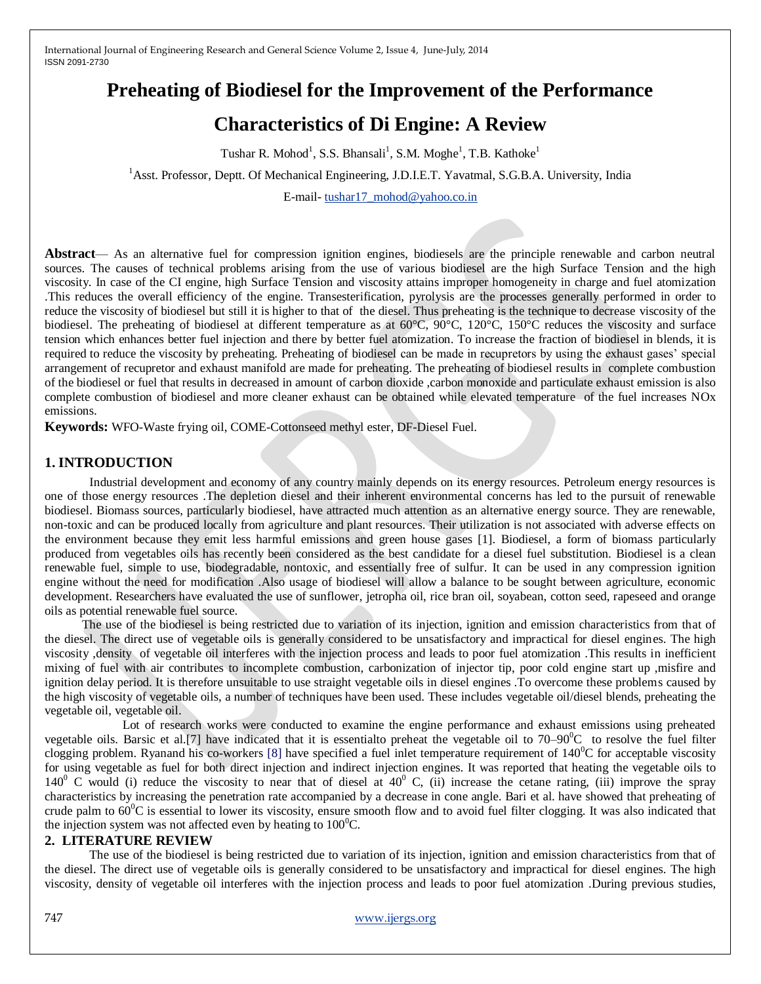# **Preheating of Biodiesel for the Improvement of the Performance**

# **Characteristics of Di Engine: A Review**

Tushar R. Mohod<sup>1</sup>, S.S. Bhansali<sup>1</sup>, S.M. Moghe<sup>1</sup>, T.B. Kathoke<sup>1</sup>

<sup>1</sup>Asst. Professor, Deptt. Of Mechanical Engineering, J.D.I.E.T. Yavatmal, S.G.B.A. University, India

E-mail- [tushar17\\_mohod@yahoo.co.in](mailto:tushar17_mohod@yahoo.co.in)

**Abstract**— As an alternative fuel for compression ignition engines, biodiesels are the principle renewable and carbon neutral sources. The causes of technical problems arising from the use of various biodiesel are the high Surface Tension and the high viscosity. In case of the CI engine, high Surface Tension and viscosity attains improper homogeneity in charge and fuel atomization .This reduces the overall efficiency of the engine. Transesterification, pyrolysis are the processes generally performed in order to reduce the viscosity of biodiesel but still it is higher to that of the diesel. Thus preheating is the technique to decrease viscosity of the biodiesel. The preheating of biodiesel at different temperature as at 60°C, 90°C, 120°C, 150°C reduces the viscosity and surface tension which enhances better fuel injection and there by better fuel atomization. To increase the fraction of biodiesel in blends, it is required to reduce the viscosity by preheating. Preheating of biodiesel can be made in recupretors by using the exhaust gases' special arrangement of recupretor and exhaust manifold are made for preheating. The preheating of biodiesel results in complete combustion of the biodiesel or fuel that results in decreased in amount of carbon dioxide ,carbon monoxide and particulate exhaust emission is also complete combustion of biodiesel and more cleaner exhaust can be obtained while elevated temperature of the fuel increases NOx emissions.

**Keywords:** WFO-Waste frying oil, COME-Cottonseed methyl ester, DF-Diesel Fuel.

# **1. INTRODUCTION**

Industrial development and economy of any country mainly depends on its energy resources. Petroleum energy resources is one of those energy resources .The depletion diesel and their inherent environmental concerns has led to the pursuit of renewable biodiesel. Biomass sources, particularly biodiesel, have attracted much attention as an alternative energy source. They are renewable, non-toxic and can be produced locally from agriculture and plant resources. Their utilization is not associated with adverse effects on the environment because they emit less harmful emissions and green house gases [1]. Biodiesel, a form of biomass particularly produced from vegetables oils has recently been considered as the best candidate for a diesel fuel substitution. Biodiesel is a clean renewable fuel, simple to use, biodegradable, nontoxic, and essentially free of sulfur. It can be used in any compression ignition engine without the need for modification .Also usage of biodiesel will allow a balance to be sought between agriculture, economic development. Researchers have evaluated the use of sunflower, jetropha oil, rice bran oil, soyabean, cotton seed, rapeseed and orange oils as potential renewable fuel source.

 The use of the biodiesel is being restricted due to variation of its injection, ignition and emission characteristics from that of the diesel. The direct use of vegetable oils is generally considered to be unsatisfactory and impractical for diesel engines. The high viscosity ,density of vegetable oil interferes with the injection process and leads to poor fuel atomization .This results in inefficient mixing of fuel with air contributes to incomplete combustion, carbonization of injector tip, poor cold engine start up ,misfire and ignition delay period. It is therefore unsuitable to use straight vegetable oils in diesel engines .To overcome these problems caused by the high viscosity of vegetable oils, a number of techniques have been used. These includes vegetable oil/diesel blends, preheating the vegetable oil, vegetable oil.

 Lot of research works were conducted to examine the engine performance and exhaust emissions using preheated vegetable oils. Barsic et al. [7] have indicated that it is essentialto preheat the vegetable oil to  $70-90^{\circ}$ C to resolve the fuel filter clogging problem. Ryanand his co-workers [8] have specified a fuel inlet temperature requirement of  $140^0C$  for acceptable viscosity for using vegetable as fuel for both direct injection and indirect injection engines. It was reported that heating the vegetable oils to  $140^{\circ}$  C would (i) reduce the viscosity to near that of diesel at  $40^{\circ}$  C, (ii) increase the cetane rating, (iii) improve the spray characteristics by increasing the penetration rate accompanied by a decrease in cone angle. Bari et al. have showed that preheating of crude palm to  $60^0C$  is essential to lower its viscosity, ensure smooth flow and to avoid fuel filter clogging. It was also indicated that the injection system was not affected even by heating to  $100^{\circ}$ C.

# **2. LITERATURE REVIEW**

The use of the biodiesel is being restricted due to variation of its injection, ignition and emission characteristics from that of the diesel. The direct use of vegetable oils is generally considered to be unsatisfactory and impractical for diesel engines. The high viscosity, density of vegetable oil interferes with the injection process and leads to poor fuel atomization .During previous studies,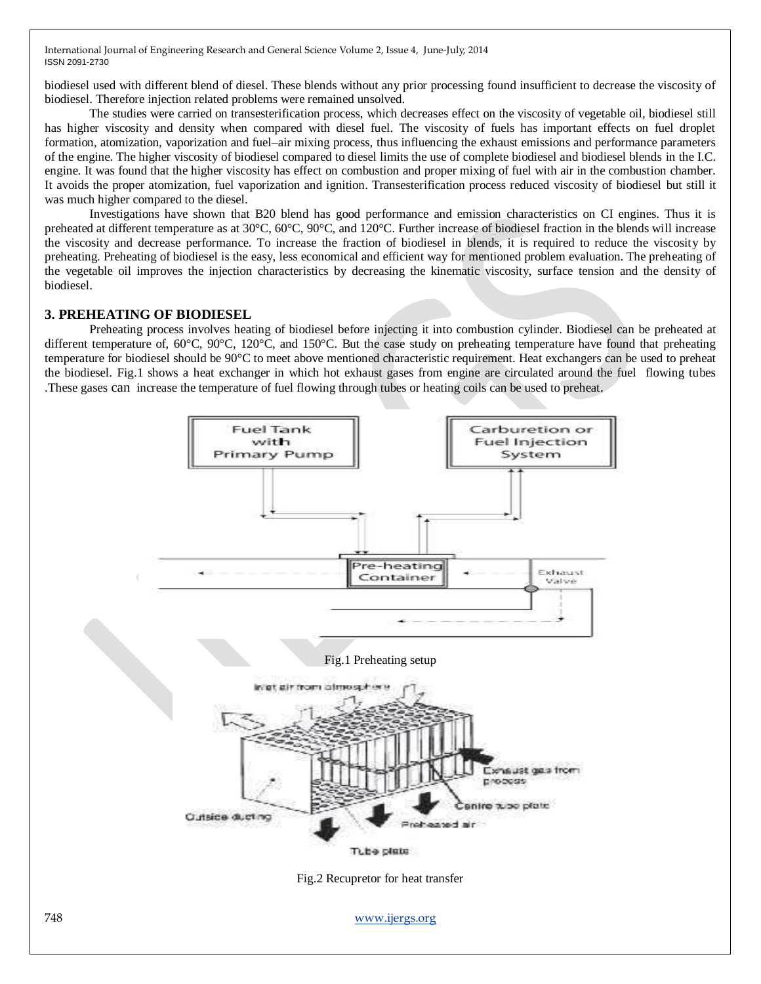biodiesel used with different blend of diesel. These blends without any prior processing found insufficient to decrease the viscosity of biodiesel. Therefore injection related problems were remained unsolved.

The studies were carried on transesterification process, which decreases effect on the viscosity of vegetable oil, biodiesel still has higher viscosity and density when compared with diesel fuel. The viscosity of fuels has important effects on fuel droplet formation, atomization, vaporization and fuel–air mixing process, thus influencing the exhaust emissions and performance parameters of the engine. The higher viscosity of biodiesel compared to diesel limits the use of complete biodiesel and biodiesel blends in the I.C. engine. It was found that the higher viscosity has effect on combustion and proper mixing of fuel with air in the combustion chamber. It avoids the proper atomization, fuel vaporization and ignition. Transesterification process reduced viscosity of biodiesel but still it was much higher compared to the diesel.

Investigations have shown that B20 blend has good performance and emission characteristics on CI engines. Thus it is preheated at different temperature as at 30°C, 60°C, 90°C, and 120°C. Further increase of biodiesel fraction in the blends will increase the viscosity and decrease performance. To increase the fraction of biodiesel in blends, it is required to reduce the viscosity by preheating. Preheating of biodiesel is the easy, less economical and efficient way for mentioned problem evaluation. The preheating of the vegetable oil improves the injection characteristics by decreasing the kinematic viscosity, surface tension and the density of biodiesel.

## **3. PREHEATING OF BIODIESEL**

Preheating process involves heating of biodiesel before injecting it into combustion cylinder. Biodiesel can be preheated at different temperature of, 60°C, 90°C, 120°C, and 150°C. But the case study on preheating temperature have found that preheating temperature for biodiesel should be 90°C to meet above mentioned characteristic requirement. Heat exchangers can be used to preheat the biodiesel. Fig.1 shows a heat exchanger in which hot exhaust gases from engine are circulated around the fuel flowing tubes .These gases can increase the temperature of fuel flowing through tubes or heating coils can be used to preheat.

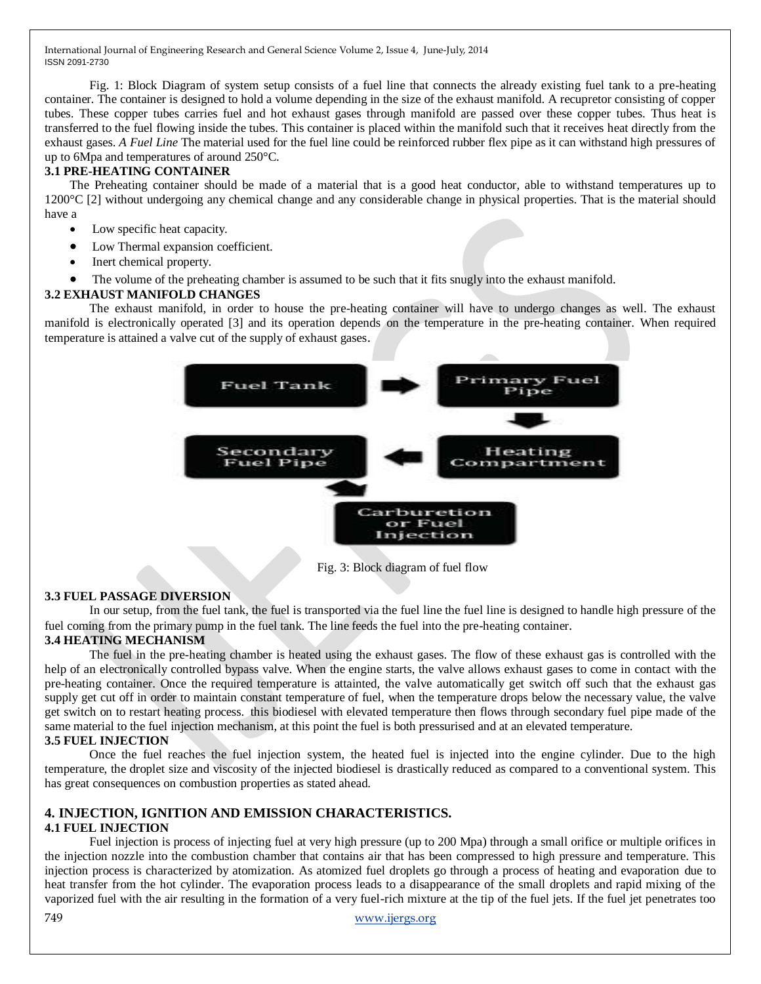Fig. 1: Block Diagram of system setup consists of a fuel line that connects the already existing fuel tank to a pre-heating container. The container is designed to hold a volume depending in the size of the exhaust manifold. A recupretor consisting of copper tubes. These copper tubes carries fuel and hot exhaust gases through manifold are passed over these copper tubes. Thus heat is transferred to the fuel flowing inside the tubes. This container is placed within the manifold such that it receives heat directly from the exhaust gases. *A Fuel Line* The material used for the fuel line could be reinforced rubber flex pipe as it can withstand high pressures of up to 6Mpa and temperatures of around 250°C.

## **3.1 PRE-HEATING CONTAINER**

The Preheating container should be made of a material that is a good heat conductor, able to withstand temperatures up to 1200°C [2] without undergoing any chemical change and any considerable change in physical properties. That is the material should have a

- Low specific heat capacity.
- Low Thermal expansion coefficient.
- Inert chemical property.
- The volume of the preheating chamber is assumed to be such that it fits snugly into the exhaust manifold.

# **3.2 EXHAUST MANIFOLD CHANGES**

The exhaust manifold, in order to house the pre-heating container will have to undergo changes as well. The exhaust manifold is electronically operated [3] and its operation depends on the temperature in the pre-heating container. When required temperature is attained a valve cut of the supply of exhaust gases.



Fig. 3: Block diagram of fuel flow

# **3.3 FUEL PASSAGE DIVERSION**

In our setup, from the fuel tank, the fuel is transported via the fuel line the fuel line is designed to handle high pressure of the fuel coming from the primary pump in the fuel tank. The line feeds the fuel into the pre-heating container.

# **3.4 HEATING MECHANISM**

The fuel in the pre-heating chamber is heated using the exhaust gases. The flow of these exhaust gas is controlled with the help of an electronically controlled bypass valve. When the engine starts, the valve allows exhaust gases to come in contact with the pre-heating container. Once the required temperature is attainted, the valve automatically get switch off such that the exhaust gas supply get cut off in order to maintain constant temperature of fuel, when the temperature drops below the necessary value, the valve get switch on to restart heating process. this biodiesel with elevated temperature then flows through secondary fuel pipe made of the same material to the fuel injection mechanism, at this point the fuel is both pressurised and at an elevated temperature. **3.5 FUEL INJECTION** 

Once the fuel reaches the fuel injection system, the heated fuel is injected into the engine cylinder. Due to the high temperature, the droplet size and viscosity of the injected biodiesel is drastically reduced as compared to a conventional system. This has great consequences on combustion properties as stated ahead.

## **4. INJECTION, IGNITION AND EMISSION CHARACTERISTICS. 4.1 FUEL INJECTION**

Fuel injection is process of injecting fuel at very high pressure (up to 200 Mpa) through a small orifice or multiple orifices in the injection nozzle into the combustion chamber that contains air that has been compressed to high pressure and temperature. This injection process is characterized by atomization. As atomized fuel droplets go through a process of heating and evaporation due to heat transfer from the hot cylinder. The evaporation process leads to a disappearance of the small droplets and rapid mixing of the vaporized fuel with the air resulting in the formation of a very fuel-rich mixture at the tip of the fuel jets. If the fuel jet penetrates too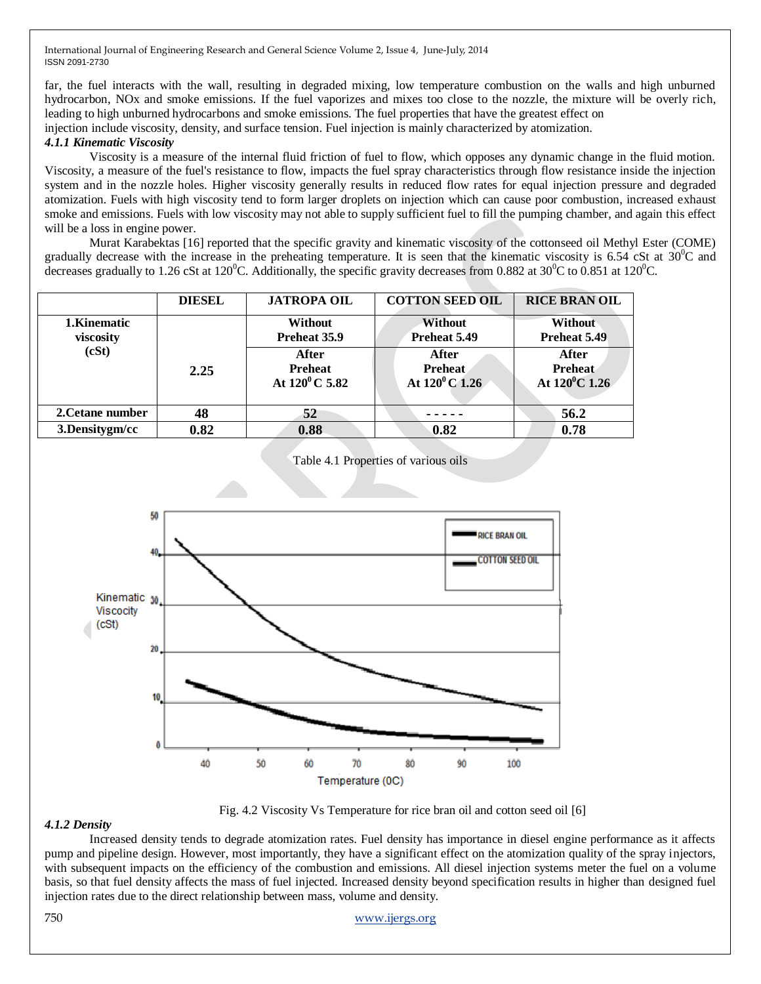far, the fuel interacts with the wall, resulting in degraded mixing, low temperature combustion on the walls and high unburned hydrocarbon, NOx and smoke emissions. If the fuel vaporizes and mixes too close to the nozzle, the mixture will be overly rich, leading to high unburned hydrocarbons and smoke emissions. The fuel properties that have the greatest effect on

injection include viscosity, density, and surface tension. Fuel injection is mainly characterized by atomization.

# *4.1.1 Kinematic Viscosity*

Viscosity is a measure of the internal fluid friction of fuel to flow, which opposes any dynamic change in the fluid motion. Viscosity, a measure of the fuel's resistance to flow, impacts the fuel spray characteristics through flow resistance inside the injection system and in the nozzle holes. Higher viscosity generally results in reduced flow rates for equal injection pressure and degraded atomization. Fuels with high viscosity tend to form larger droplets on injection which can cause poor combustion, increased exhaust smoke and emissions. Fuels with low viscosity may not able to supply sufficient fuel to fill the pumping chamber, and again this effect will be a loss in engine power.

Murat Karabektas [16] reported that the specific gravity and kinematic viscosity of the cottonseed oil Methyl Ester (COME) gradually decrease with the increase in the preheating temperature. It is seen that the kinematic viscosity is 6.54 cSt at  $30^{\circ}$ C and decreases gradually to 1.26 cSt at 120<sup>0</sup>C. Additionally, the specific gravity decreases from 0.882 at 30<sup>0</sup>C to 0.851 at 120<sup>0</sup>C.

|                                    | <b>DIESEL</b> | <b>JATROPA OIL</b>                           | <b>COTTON SEED OIL</b>                       | <b>RICE BRAN OIL</b>                               |
|------------------------------------|---------------|----------------------------------------------|----------------------------------------------|----------------------------------------------------|
| 1. Kinematic<br>viscosity<br>(cSt) |               | <b>Without</b><br>Preheat 35.9               | Without<br>Preheat 5.49                      | Without<br>Preheat 5.49                            |
|                                    | 2.25          | After<br><b>Preheat</b><br>At $120^0$ C 5.82 | After<br><b>Preheat</b><br>At $120^0$ C 1.26 | After<br><b>Preheat</b><br>At $120^{\circ}$ C 1.26 |
| 2. Cetane number                   | 48            | 52                                           |                                              | 56.2                                               |
| 3.Densitygm/cc                     | 0.82          | 0.88                                         | 0.82                                         | 0.78                                               |



Table 4.1 Properties of various oils

Fig. 4.2 Viscosity Vs Temperature for rice bran oil and cotton seed oil [6]

## *4.1.2 Density*

Increased density tends to degrade atomization rates. Fuel density has importance in diesel engine performance as it affects pump and pipeline design. However, most importantly, they have a significant effect on the atomization quality of the spray injectors, with subsequent impacts on the efficiency of the combustion and emissions. All diesel injection systems meter the fuel on a volume basis, so that fuel density affects the mass of fuel injected. Increased density beyond specification results in higher than designed fuel injection rates due to the direct relationship between mass, volume and density.

750 [www.ijergs.org](http://www.ijergs.org/)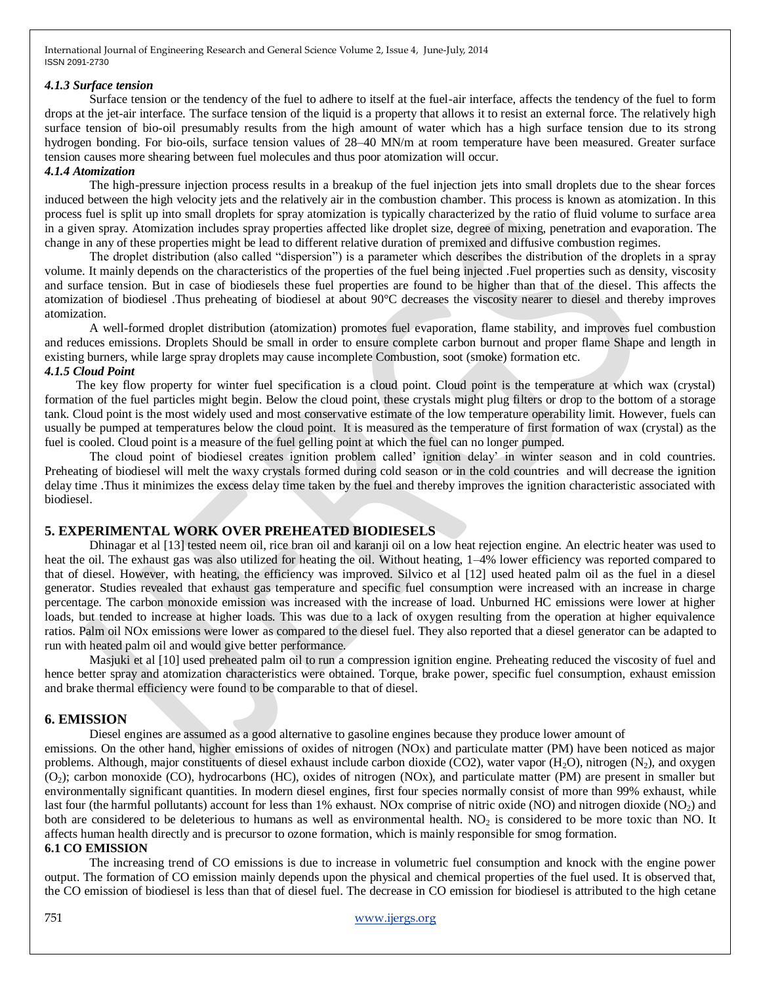#### *4.1.3 Surface tension*

Surface tension or the tendency of the fuel to adhere to itself at the fuel-air interface, affects the tendency of the fuel to form drops at the jet-air interface. The surface tension of the liquid is a property that allows it to resist an external force. The relatively high surface tension of bio-oil presumably results from the high amount of water which has a high surface tension due to its strong hydrogen bonding. For bio-oils, surface tension values of 28–40 MN/m at room temperature have been measured. Greater surface tension causes more shearing between fuel molecules and thus poor atomization will occur.

## *4.1.4 Atomization*

The high-pressure injection process results in a breakup of the fuel injection jets into small droplets due to the shear forces induced between the high velocity jets and the relatively air in the combustion chamber. This process is known as atomization. In this process fuel is split up into small droplets for spray atomization is typically characterized by the ratio of fluid volume to surface area in a given spray. Atomization includes spray properties affected like droplet size, degree of mixing, penetration and evaporation. The change in any of these properties might be lead to different relative duration of premixed and diffusive combustion regimes.

The droplet distribution (also called "dispersion") is a parameter which describes the distribution of the droplets in a spray volume. It mainly depends on the characteristics of the properties of the fuel being injected .Fuel properties such as density, viscosity and surface tension. But in case of biodiesels these fuel properties are found to be higher than that of the diesel. This affects the atomization of biodiesel .Thus preheating of biodiesel at about 90°C decreases the viscosity nearer to diesel and thereby improves atomization.

A well-formed droplet distribution (atomization) promotes fuel evaporation, flame stability, and improves fuel combustion and reduces emissions. Droplets Should be small in order to ensure complete carbon burnout and proper flame Shape and length in existing burners, while large spray droplets may cause incomplete Combustion, soot (smoke) formation etc.

# *4.1.5 Cloud Point*

 The key flow property for winter fuel specification is a cloud point. Cloud point is the temperature at which wax (crystal) formation of the fuel particles might begin. Below the cloud point, these crystals might plug filters or drop to the bottom of a storage tank. Cloud point is the most widely used and most conservative estimate of the low temperature operability limit. However, fuels can usually be pumped at temperatures below the cloud point. It is measured as the temperature of first formation of wax (crystal) as the fuel is cooled. Cloud point is a measure of the fuel gelling point at which the fuel can no longer pumped.

The cloud point of biodiesel creates ignition problem called' ignition delay' in winter season and in cold countries. Preheating of biodiesel will melt the waxy crystals formed during cold season or in the cold countries and will decrease the ignition delay time .Thus it minimizes the excess delay time taken by the fuel and thereby improves the ignition characteristic associated with biodiesel.

## **5. EXPERIMENTAL WORK OVER PREHEATED BIODIESELS**

Dhinagar et al [13] tested neem oil, rice bran oil and karanji oil on a low heat rejection engine. An electric heater was used to heat the oil. The exhaust gas was also utilized for heating the oil. Without heating,  $1-4%$  lower efficiency was reported compared to that of diesel. However, with heating, the efficiency was improved. Silvico et al [12] used heated palm oil as the fuel in a diesel generator. Studies revealed that exhaust gas temperature and specific fuel consumption were increased with an increase in charge percentage. The carbon monoxide emission was increased with the increase of load. Unburned HC emissions were lower at higher loads, but tended to increase at higher loads. This was due to a lack of oxygen resulting from the operation at higher equivalence ratios. Palm oil NOx emissions were lower as compared to the diesel fuel. They also reported that a diesel generator can be adapted to run with heated palm oil and would give better performance.

Masjuki et al [10] used preheated palm oil to run a compression ignition engine. Preheating reduced the viscosity of fuel and hence better spray and atomization characteristics were obtained. Torque, brake power, specific fuel consumption, exhaust emission and brake thermal efficiency were found to be comparable to that of diesel.

## **6. EMISSION**

Diesel engines are assumed as a good alternative to gasoline engines because they produce lower amount of

emissions. On the other hand, higher emissions of oxides of nitrogen (NOx) and particulate matter (PM) have been noticed as major problems. Although, major constituents of diesel exhaust include carbon dioxide (CO2), water vapor  $(H<sub>2</sub>O)$ , nitrogen  $(N<sub>2</sub>)$ , and oxygen  $(O<sub>2</sub>)$ ; carbon monoxide (CO), hydrocarbons (HC), oxides of nitrogen (NOx), and particulate matter (PM) are present in smaller but environmentally significant quantities. In modern diesel engines, first four species normally consist of more than 99% exhaust, while last four (the harmful pollutants) account for less than 1% exhaust. NOx comprise of nitric oxide (NO) and nitrogen dioxide (NO<sub>2</sub>) and both are considered to be deleterious to humans as well as environmental health. NO<sub>2</sub> is considered to be more toxic than NO. It affects human health directly and is precursor to ozone formation, which is mainly responsible for smog formation.

## **6.1 CO EMISSION**

The increasing trend of CO emissions is due to increase in volumetric fuel consumption and knock with the engine power output. The formation of CO emission mainly depends upon the physical and chemical properties of the fuel used. It is observed that, the CO emission of biodiesel is less than that of diesel fuel. The decrease in CO emission for biodiesel is attributed to the high cetane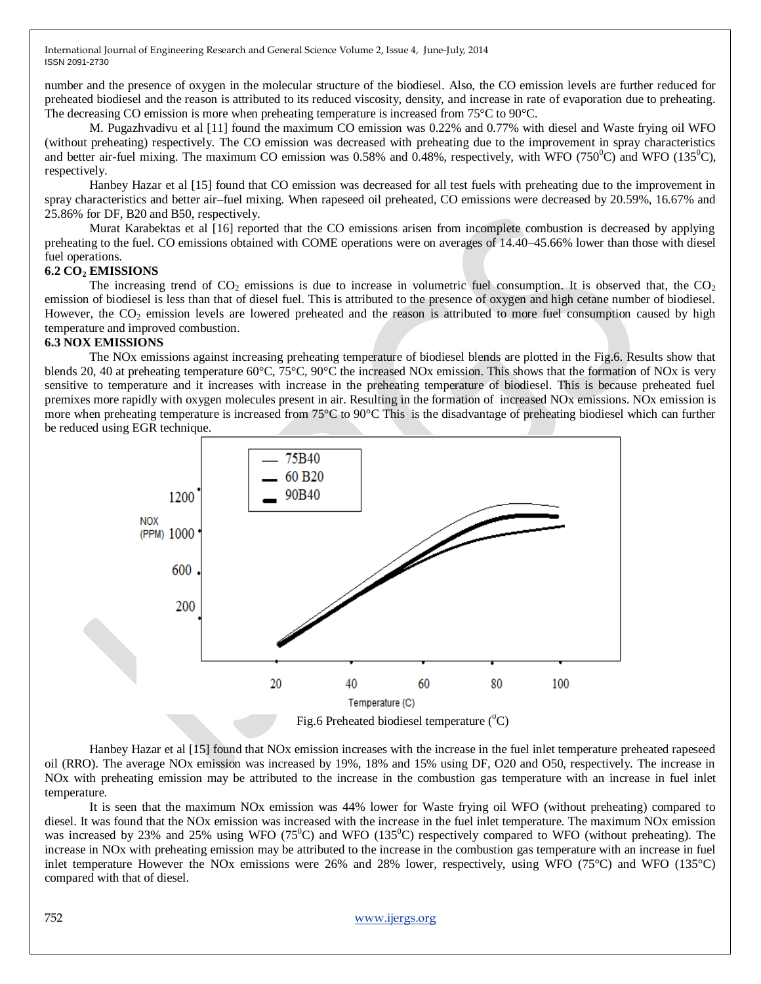number and the presence of oxygen in the molecular structure of the biodiesel. Also, the CO emission levels are further reduced for preheated biodiesel and the reason is attributed to its reduced viscosity, density, and increase in rate of evaporation due to preheating. The decreasing CO emission is more when preheating temperature is increased from 75°C to 90°C.

M. Pugazhvadivu et al [11] found the maximum CO emission was 0.22% and 0.77% with diesel and Waste frying oil WFO (without preheating) respectively. The CO emission was decreased with preheating due to the improvement in spray characteristics and better air-fuel mixing. The maximum CO emission was 0.58% and 0.48%, respectively, with WFO  $(750^0C)$  and WFO  $(135^0C)$ , respectively.

Hanbey Hazar et al [15] found that CO emission was decreased for all test fuels with preheating due to the improvement in spray characteristics and better air–fuel mixing. When rapeseed oil preheated, CO emissions were decreased by 20.59%, 16.67% and 25.86% for DF, B20 and B50, respectively.

Murat Karabektas et al [16] reported that the CO emissions arisen from incomplete combustion is decreased by applying preheating to the fuel. CO emissions obtained with COME operations were on averages of 14.40–45.66% lower than those with diesel fuel operations.

#### **6.2 CO<sup>2</sup> EMISSIONS**

The increasing trend of  $CO_2$  emissions is due to increase in volumetric fuel consumption. It is observed that, the  $CO_2$ emission of biodiesel is less than that of diesel fuel. This is attributed to the presence of oxygen and high cetane number of biodiesel. However, the  $CO<sub>2</sub>$  emission levels are lowered preheated and the reason is attributed to more fuel consumption caused by high temperature and improved combustion.

#### **6.3 NOX EMISSIONS**

The NOx emissions against increasing preheating temperature of biodiesel blends are plotted in the Fig.6. Results show that blends 20, 40 at preheating temperature 60°C, 75°C, 90°C the increased NOx emission. This shows that the formation of NOx is very sensitive to temperature and it increases with increase in the preheating temperature of biodiesel. This is because preheated fuel premixes more rapidly with oxygen molecules present in air. Resulting in the formation of increased NOx emissions. NOx emission is more when preheating temperature is increased from 75°C to 90°C This is the disadvantage of preheating biodiesel which can further be reduced using EGR technique.



Hanbey Hazar et al [15] found that NOx emission increases with the increase in the fuel inlet temperature preheated rapeseed oil (RRO). The average NOx emission was increased by 19%, 18% and 15% using DF, O20 and O50, respectively. The increase in NOx with preheating emission may be attributed to the increase in the combustion gas temperature with an increase in fuel inlet temperature.

It is seen that the maximum NOx emission was 44% lower for Waste frying oil WFO (without preheating) compared to diesel. It was found that the NOx emission was increased with the increase in the fuel inlet temperature. The maximum NOx emission was increased by 23% and 25% using WFO (75<sup>o</sup>C) and WFO (135<sup>o</sup>C) respectively compared to WFO (without preheating). The increase in NOx with preheating emission may be attributed to the increase in the combustion gas temperature with an increase in fuel inlet temperature However the NOx emissions were 26% and 28% lower, respectively, using WFO (75°C) and WFO (135°C) compared with that of diesel.